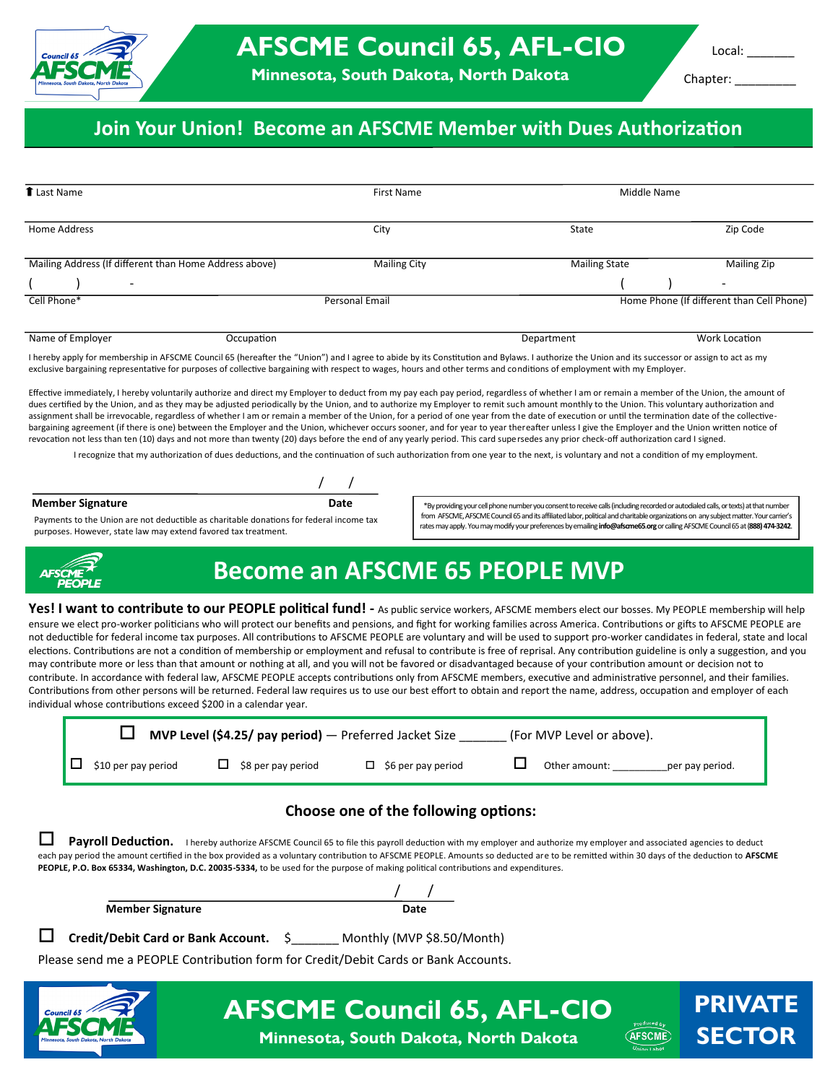

**PRIVATE** 

**SECTOR**

**AFSCME** 

Chapter: \_\_\_\_\_\_\_\_\_

\*By providing your cell phone number you consent to receive calls (including recorded or autodialed calls, or texts) at that number from AFSCME, AFSCME Council 65 and its affiliated labor, political and charitable organizations on any subject matter. Yourcarrier's rates may apply. You may modify your preferences by emailing **info@afscme65**.**org** or calling AFSCME Council 65 at (**888) 474-3242**.

### **Join Your Union! Become an AFSCME Member with Dues Authorization**

| <b>T</b> Last Name                                     | <b>First Name</b>   | Middle Name          |                                           |
|--------------------------------------------------------|---------------------|----------------------|-------------------------------------------|
|                                                        |                     |                      |                                           |
| Home Address                                           | City                | State                | Zip Code                                  |
|                                                        |                     |                      |                                           |
| Mailing Address (If different than Home Address above) | <b>Mailing City</b> | <b>Mailing State</b> | <b>Mailing Zip</b>                        |
| $\overline{\phantom{0}}$                               |                     |                      | $\overline{\phantom{a}}$                  |
| Cell Phone*                                            | Personal Email      |                      | Home Phone (If different than Cell Phone) |
|                                                        |                     |                      |                                           |
| Name of Employer<br>Occupation                         |                     | Department           | Work Location                             |

I hereby apply for membership in AFSCME Council 65 (hereafter the "Union") and I agree to abide by its Constitution and Bylaws. I authorize the Union and its successor or assign to act as my exclusive bargaining representative for purposes of collective bargaining with respect to wages, hours and other terms and conditions of employment with my Employer.

Effective immediately, I hereby voluntarily authorize and direct my Employer to deduct from my pay each pay period, regardless of whether I am or remain a member of the Union, the amount of dues certified by the Union, and as they may be adjusted periodically by the Union, and to authorize my Employer to remit such amount monthly to the Union. This voluntary authorization and assignment shall be irrevocable, regardless of whether I am or remain a member of the Union, for a period of one year from the date of execution or until the termination date of the collectivebargaining agreement (if there is one) between the Employer and the Union, whichever occurs sooner, and for year to year thereafter unless I give the Employer and the Union written notice of revocation not less than ten (10) days and not more than twenty (20) days before the end of any yearly period. This card supersedes any prior check-off authorization card I signed.

I recognize that my authorization of dues deductions, and the continuation of such authorization from one year to the next, is voluntary and not a condition of my employment.

**Member Signature** 

Payments to the Union are not deductible as charitable donations for federal income tax purposes. However, state law may extend favored tax treatment.



## **Become an AFSCME 65 PEOPLE MVP**

Yes! I want to contribute to our PEOPLE political fund! - As public service workers, AFSCME members elect our bosses. My PEOPLE membership will help ensure we elect pro-worker politicians who will protect our benefits and pensions, and fight for working families across America. Contributions or gifts to AFSCME PEOPLE are not deductible for federal income tax purposes. All contributions to AFSCME PEOPLE are voluntary and will be used to support pro-worker candidates in federal, state and local elections. Contributions are not a condition of membership or employment and refusal to contribute is free of reprisal. Any contribution guideline is only a suggestion, and you may contribute more or less than that amount or nothing at all, and you will not be favored or disadvantaged because of your contribution amount or decision not to contribute. In accordance with federal law, AFSCME PEOPLE accepts contributions only from AFSCME members, executive and administrative personnel, and their families. Contributions from other persons will be returned. Federal law requires us to use our best effort to obtain and report the name, address, occupation and employer of each individual whose contributions exceed \$200 in a calendar year.

|                            | <b>MVP Level (\$4.25/ pay period)</b> $-$ Preferred Jacket Size |                           | (For MVP Level or above). |                 |
|----------------------------|-----------------------------------------------------------------|---------------------------|---------------------------|-----------------|
| $\Box$ \$10 per pay period | $\Box$ \$8 per pay period                                       | $\Box$ \$6 per pay period | Other amount:             | per pay period. |

#### **Choose one of the following options:**

**Payroll Deduction.** I hereby authorize AFSCME Council 65 to file this payroll deduction with my employer and authorize my employer and associated agencies to deduct each pay period the amount certified in the box provided as a voluntary contribution to AFSCME PEOPLE. Amounts so deducted are to be remitted within 30 days of the deduction to **AFSCME PEOPLE, P.O. Box 65334, Washington, D.C. 20035-5334,** to be used for the purpose of making political contributions and expenditures.

|   | <b>Member Signature</b>               | Date                                                                               |
|---|---------------------------------------|------------------------------------------------------------------------------------|
| □ | Credit/Debit Card or Bank Account. \$ | Monthly (MVP \$8.50/Month)                                                         |
|   |                                       | Please send me a PEOPLE Contribution form for Credit/Debit Cards or Bank Accounts. |
|   |                                       |                                                                                    |



**AFSCME Council 65, AFL-CIO Minnesota, South Dakota, North Dakota**